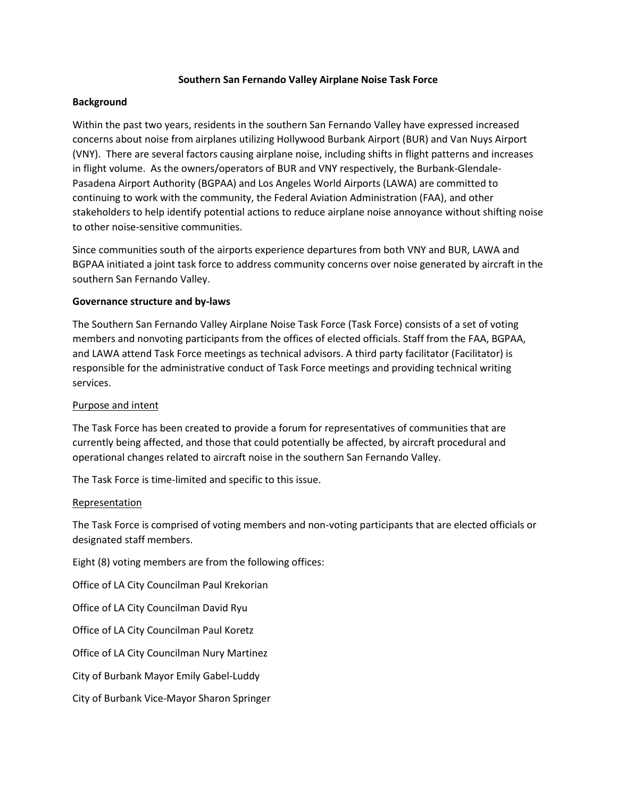### **Southern San Fernando Valley Airplane Noise Task Force**

## **Background**

Within the past two years, residents in the southern San Fernando Valley have expressed increased concerns about noise from airplanes utilizing Hollywood Burbank Airport (BUR) and Van Nuys Airport (VNY). There are several factors causing airplane noise, including shifts in flight patterns and increases in flight volume. As the owners/operators of BUR and VNY respectively, the Burbank-Glendale-Pasadena Airport Authority (BGPAA) and Los Angeles World Airports (LAWA) are committed to continuing to work with the community, the Federal Aviation Administration (FAA), and other stakeholders to help identify potential actions to reduce airplane noise annoyance without shifting noise to other noise-sensitive communities.

Since communities south of the airports experience departures from both VNY and BUR, LAWA and BGPAA initiated a joint task force to address community concerns over noise generated by aircraft in the southern San Fernando Valley.

### **Governance structure and by-laws**

The Southern San Fernando Valley Airplane Noise Task Force (Task Force) consists of a set of voting members and nonvoting participants from the offices of elected officials. Staff from the FAA, BGPAA, and LAWA attend Task Force meetings as technical advisors. A third party facilitator (Facilitator) is responsible for the administrative conduct of Task Force meetings and providing technical writing services.

### Purpose and intent

The Task Force has been created to provide a forum for representatives of communities that are currently being affected, and those that could potentially be affected, by aircraft procedural and operational changes related to aircraft noise in the southern San Fernando Valley.

The Task Force is time-limited and specific to this issue.

### Representation

The Task Force is comprised of voting members and non-voting participants that are elected officials or designated staff members.

Eight (8) voting members are from the following offices:

Office of LA City Councilman Paul Krekorian

Office of LA City Councilman David Ryu

Office of LA City Councilman Paul Koretz

Office of LA City Councilman Nury Martinez

City of Burbank Mayor Emily Gabel-Luddy

City of Burbank Vice-Mayor Sharon Springer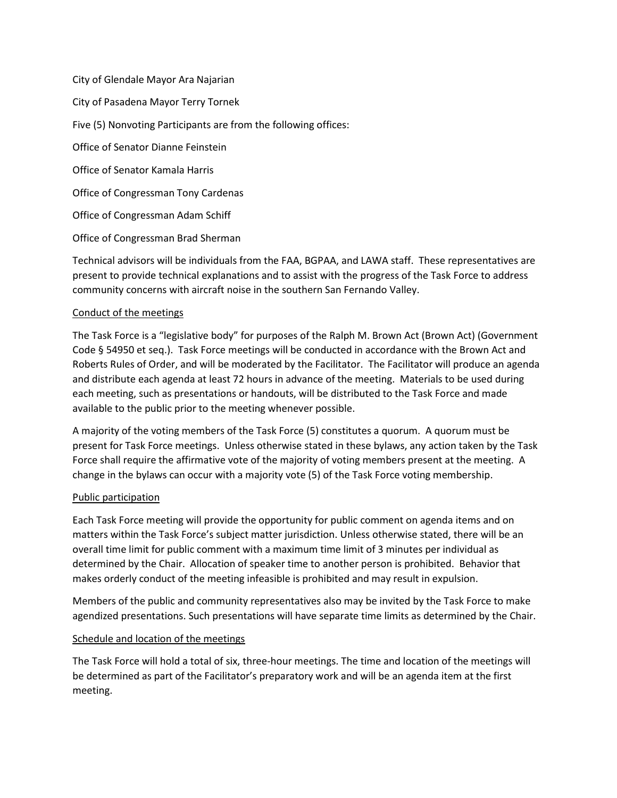City of Glendale Mayor Ara Najarian City of Pasadena Mayor Terry Tornek Five (5) Nonvoting Participants are from the following offices: Office of Senator Dianne Feinstein Office of Senator Kamala Harris Office of Congressman Tony Cardenas Office of Congressman Adam Schiff Office of Congressman Brad Sherman

Technical advisors will be individuals from the FAA, BGPAA, and LAWA staff. These representatives are present to provide technical explanations and to assist with the progress of the Task Force to address community concerns with aircraft noise in the southern San Fernando Valley.

## Conduct of the meetings

The Task Force is a "legislative body" for purposes of the Ralph M. Brown Act (Brown Act) (Government Code § 54950 et seq.). Task Force meetings will be conducted in accordance with the Brown Act and Roberts Rules of Order, and will be moderated by the Facilitator. The Facilitator will produce an agenda and distribute each agenda at least 72 hours in advance of the meeting. Materials to be used during each meeting, such as presentations or handouts, will be distributed to the Task Force and made available to the public prior to the meeting whenever possible.

A majority of the voting members of the Task Force (5) constitutes a quorum. A quorum must be present for Task Force meetings. Unless otherwise stated in these bylaws, any action taken by the Task Force shall require the affirmative vote of the majority of voting members present at the meeting. A change in the bylaws can occur with a majority vote (5) of the Task Force voting membership.

### Public participation

Each Task Force meeting will provide the opportunity for public comment on agenda items and on matters within the Task Force's subject matter jurisdiction. Unless otherwise stated, there will be an overall time limit for public comment with a maximum time limit of 3 minutes per individual as determined by the Chair. Allocation of speaker time to another person is prohibited. Behavior that makes orderly conduct of the meeting infeasible is prohibited and may result in expulsion.

Members of the public and community representatives also may be invited by the Task Force to make agendized presentations. Such presentations will have separate time limits as determined by the Chair.

### Schedule and location of the meetings

The Task Force will hold a total of six, three-hour meetings. The time and location of the meetings will be determined as part of the Facilitator's preparatory work and will be an agenda item at the first meeting.